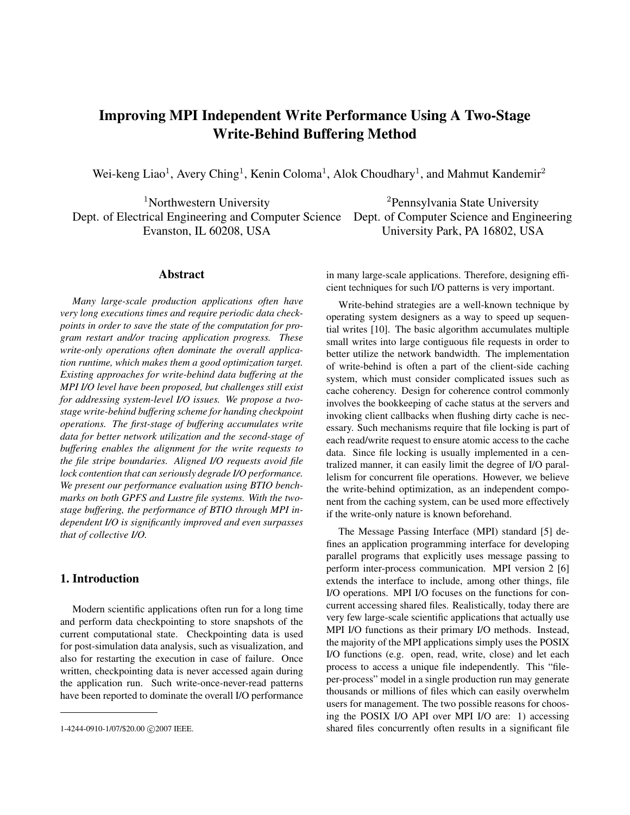# **Improving MPI Independent Write Performance Using A Two-Stage Write-Behind Buffering Method**

Wei-keng Liao<sup>1</sup>, Avery Ching<sup>1</sup>, Kenin Coloma<sup>1</sup>, Alok Choudhary<sup>1</sup>, and Mahmut Kandemir<sup>2</sup>

<sup>1</sup>Northwestern University <sup>2</sup>Pennsylvania State University Dept. of Electrical Engineering and Computer Science Dept. of Computer Science and Engineering Evanston, IL 60208, USA University Park, PA 16802, USA

#### **Abstract**

*Many large-scale production applications often have very long executions times and require periodic data checkpoints in order to save the state of the computation for program restart and/or tracing application progress. These write-only operations often dominate the overall application runtime, which makes them a good optimization target. Existing approaches for write-behind data buffering at the MPI I/O level have been proposed, but challenges still exist for addressing system-level I/O issues. We propose a twostage write-behind buffering scheme for handing checkpoint operations. The first-stage of buffering accumulates write data for better network utilization and the second-stage of buffering enables the alignment for the write requests to the file stripe boundaries. Aligned I/O requests avoid file lock contention that can seriously degrade I/O performance. We present our performance evaluation using BTIO benchmarks on both GPFS and Lustre file systems. With the twostage buffering, the performance of BTIO through MPI independent I/O is significantly improved and even surpasses that of collective I/O.*

# **1. Introduction**

Modern scientific applications often run for a long time and perform data checkpointing to store snapshots of the current computational state. Checkpointing data is used for post-simulation data analysis, such as visualization, and also for restarting the execution in case of failure. Once written, checkpointing data is never accessed again during the application run. Such write-once-never-read patterns have been reported to dominate the overall I/O performance

in many large-scale applications. Therefore, designing efficient techniques for such I/O patterns is very important.

Write-behind strategies are a well-known technique by operating system designers as a way to speed up sequential writes [10]. The basic algorithm accumulates multiple small writes into large contiguous file requests in order to better utilize the network bandwidth. The implementation of write-behind is often a part of the client-side caching system, which must consider complicated issues such as cache coherency. Design for coherence control commonly involves the bookkeeping of cache status at the servers and invoking client callbacks when flushing dirty cache is necessary. Such mechanisms require that file locking is part of each read/write request to ensure atomic access to the cache data. Since file locking is usually implemented in a centralized manner, it can easily limit the degree of I/O parallelism for concurrent file operations. However, we believe the write-behind optimization, as an independent component from the caching system, can be used more effectively if the write-only nature is known beforehand.

The Message Passing Interface (MPI) standard [5] defines an application programming interface for developing parallel programs that explicitly uses message passing to perform inter-process communication. MPI version 2 [6] extends the interface to include, among other things, file I/O operations. MPI I/O focuses on the functions for concurrent accessing shared files. Realistically, today there are very few large-scale scientific applications that actually use MPI I/O functions as their primary I/O methods. Instead, the majority of the MPI applications simply uses the POSIX I/O functions (e.g. open, read, write, close) and let each process to access a unique file independently. This "fileper-process" model in a single production run may generate thousands or millions of files which can easily overwhelm users for management. The two possible reasons for choosing the POSIX I/O API over MPI I/O are: 1) accessing shared files concurrently often results in a significant file

<sup>1-4244-0910-1/07/\$20.00 @2007</sup> IEEE.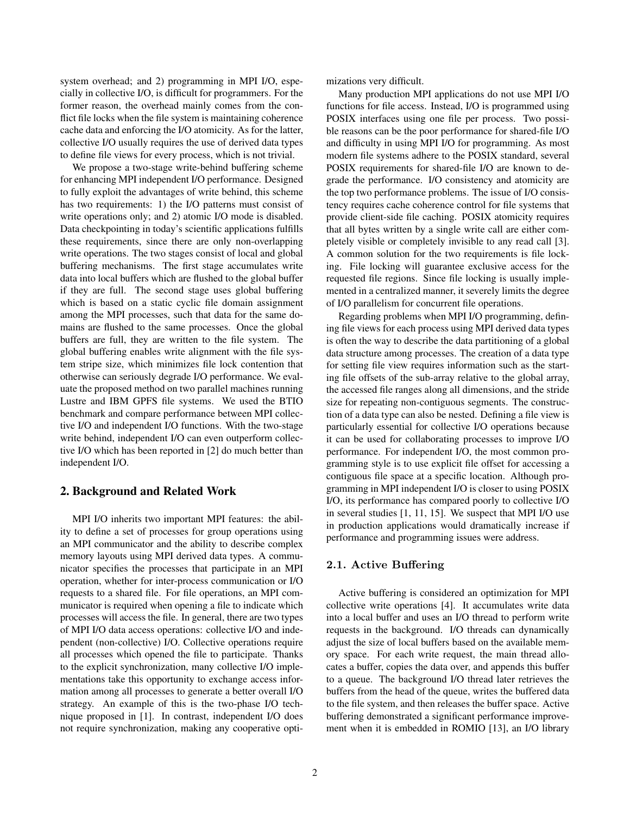system overhead; and 2) programming in MPI I/O, especially in collective I/O, is difficult for programmers. For the former reason, the overhead mainly comes from the conflict file locks when the file system is maintaining coherence cache data and enforcing the I/O atomicity. As for the latter, collective I/O usually requires the use of derived data types to define file views for every process, which is not trivial.

We propose a two-stage write-behind buffering scheme for enhancing MPI independent I/O performance. Designed to fully exploit the advantages of write behind, this scheme has two requirements: 1) the I/O patterns must consist of write operations only; and 2) atomic I/O mode is disabled. Data checkpointing in today's scientific applications fulfills these requirements, since there are only non-overlapping write operations. The two stages consist of local and global buffering mechanisms. The first stage accumulates write data into local buffers which are flushed to the global buffer if they are full. The second stage uses global buffering which is based on a static cyclic file domain assignment among the MPI processes, such that data for the same domains are flushed to the same processes. Once the global buffers are full, they are written to the file system. The global buffering enables write alignment with the file system stripe size, which minimizes file lock contention that otherwise can seriously degrade I/O performance. We evaluate the proposed method on two parallel machines running Lustre and IBM GPFS file systems. We used the BTIO benchmark and compare performance between MPI collective I/O and independent I/O functions. With the two-stage write behind, independent I/O can even outperform collective I/O which has been reported in [2] do much better than independent I/O.

# **2. Background and Related Work**

MPI I/O inherits two important MPI features: the ability to define a set of processes for group operations using an MPI communicator and the ability to describe complex memory layouts using MPI derived data types. A communicator specifies the processes that participate in an MPI operation, whether for inter-process communication or I/O requests to a shared file. For file operations, an MPI communicator is required when opening a file to indicate which processes will access the file. In general, there are two types of MPI I/O data access operations: collective I/O and independent (non-collective) I/O. Collective operations require all processes which opened the file to participate. Thanks to the explicit synchronization, many collective I/O implementations take this opportunity to exchange access information among all processes to generate a better overall I/O strategy. An example of this is the two-phase I/O technique proposed in [1]. In contrast, independent I/O does not require synchronization, making any cooperative optimizations very difficult.

Many production MPI applications do not use MPI I/O functions for file access. Instead, I/O is programmed using POSIX interfaces using one file per process. Two possible reasons can be the poor performance for shared-file I/O and difficulty in using MPI I/O for programming. As most modern file systems adhere to the POSIX standard, several POSIX requirements for shared-file I/O are known to degrade the performance. I/O consistency and atomicity are the top two performance problems. The issue of I/O consistency requires cache coherence control for file systems that provide client-side file caching. POSIX atomicity requires that all bytes written by a single write call are either completely visible or completely invisible to any read call [3]. A common solution for the two requirements is file locking. File locking will guarantee exclusive access for the requested file regions. Since file locking is usually implemented in a centralized manner, it severely limits the degree of I/O parallelism for concurrent file operations.

Regarding problems when MPI I/O programming, defining file views for each process using MPI derived data types is often the way to describe the data partitioning of a global data structure among processes. The creation of a data type for setting file view requires information such as the starting file offsets of the sub-array relative to the global array, the accessed file ranges along all dimensions, and the stride size for repeating non-contiguous segments. The construction of a data type can also be nested. Defining a file view is particularly essential for collective I/O operations because it can be used for collaborating processes to improve I/O performance. For independent I/O, the most common programming style is to use explicit file offset for accessing a contiguous file space at a specific location. Although programming in MPI independent I/O is closer to using POSIX I/O, its performance has compared poorly to collective I/O in several studies [1, 11, 15]. We suspect that MPI I/O use in production applications would dramatically increase if performance and programming issues were address.

# 2.1. Active Buffering

Active buffering is considered an optimization for MPI collective write operations [4]. It accumulates write data into a local buffer and uses an I/O thread to perform write requests in the background. I/O threads can dynamically adjust the size of local buffers based on the available memory space. For each write request, the main thread allocates a buffer, copies the data over, and appends this buffer to a queue. The background I/O thread later retrieves the buffers from the head of the queue, writes the buffered data to the file system, and then releases the buffer space. Active buffering demonstrated a significant performance improvement when it is embedded in ROMIO [13], an I/O library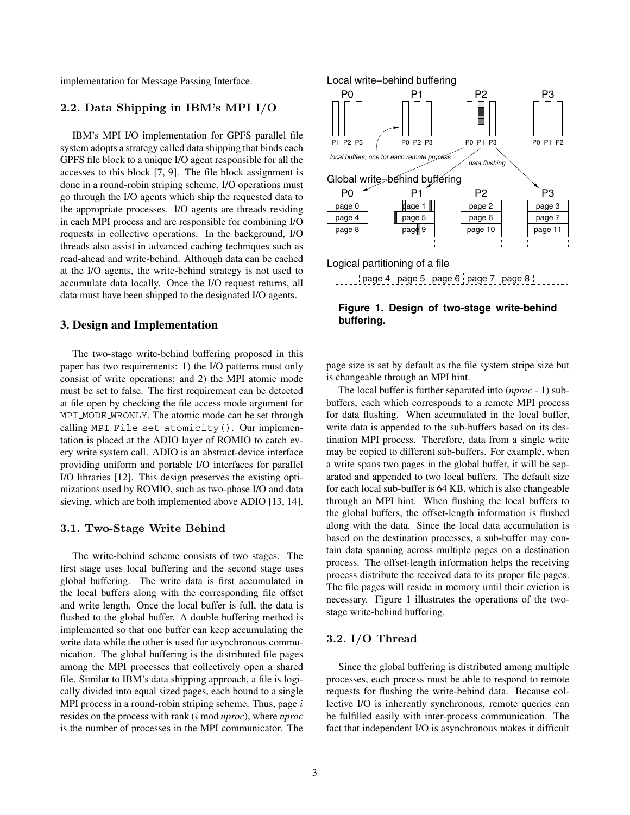implementation for Message Passing Interface.

# 2.2. Data Shipping in IBM's MPI I/O

IBM's MPI I/O implementation for GPFS parallel file system adopts a strategy called data shipping that binds each GPFS file block to a unique I/O agent responsible for all the accesses to this block [7, 9]. The file block assignment is done in a round-robin striping scheme. I/O operations must go through the I/O agents which ship the requested data to the appropriate processes. I/O agents are threads residing in each MPI process and are responsible for combining I/O requests in collective operations. In the background, I/O threads also assist in advanced caching techniques such as read-ahead and write-behind. Although data can be cached at the I/O agents, the write-behind strategy is not used to accumulate data locally. Once the I/O request returns, all data must have been shipped to the designated I/O agents.

# **3. Design and Implementation**

The two-stage write-behind buffering proposed in this paper has two requirements: 1) the I/O patterns must only consist of write operations; and 2) the MPI atomic mode must be set to false. The first requirement can be detected at file open by checking the file access mode argument for MPI MODE WRONLY. The atomic mode can be set through calling MPI\_File\_set\_atomicity(). Our implementation is placed at the ADIO layer of ROMIO to catch every write system call. ADIO is an abstract-device interface providing uniform and portable I/O interfaces for parallel I/O libraries [12]. This design preserves the existing optimizations used by ROMIO, such as two-phase I/O and data sieving, which are both implemented above ADIO [13, 14].

#### 3.1. Two-Stage Write Behind

The write-behind scheme consists of two stages. The first stage uses local buffering and the second stage uses global buffering. The write data is first accumulated in the local buffers along with the corresponding file offset and write length. Once the local buffer is full, the data is flushed to the global buffer. A double buffering method is implemented so that one buffer can keep accumulating the write data while the other is used for asynchronous communication. The global buffering is the distributed file pages among the MPI processes that collectively open a shared file. Similar to IBM's data shipping approach, a file is logically divided into equal sized pages, each bound to a single MPI process in a round-robin striping scheme. Thus, page  $i$ resides on the process with rank (i mod *nproc*), where *nproc* is the number of processes in the MPI communicator. The



**Figure 1. Design of two-stage write-behind buffering.**

page size is set by default as the file system stripe size but is changeable through an MPI hint.

The local buffer is further separated into (*nproc* - 1) subbuffers, each which corresponds to a remote MPI process for data flushing. When accumulated in the local buffer, write data is appended to the sub-buffers based on its destination MPI process. Therefore, data from a single write may be copied to different sub-buffers. For example, when a write spans two pages in the global buffer, it will be separated and appended to two local buffers. The default size for each local sub-buffer is 64 KB, which is also changeable through an MPI hint. When flushing the local buffers to the global buffers, the offset-length information is flushed along with the data. Since the local data accumulation is based on the destination processes, a sub-buffer may contain data spanning across multiple pages on a destination process. The offset-length information helps the receiving process distribute the received data to its proper file pages. The file pages will reside in memory until their eviction is necessary. Figure 1 illustrates the operations of the twostage write-behind buffering.

# 3.2. I/O Thread

Since the global buffering is distributed among multiple processes, each process must be able to respond to remote requests for flushing the write-behind data. Because collective I/O is inherently synchronous, remote queries can be fulfilled easily with inter-process communication. The fact that independent I/O is asynchronous makes it difficult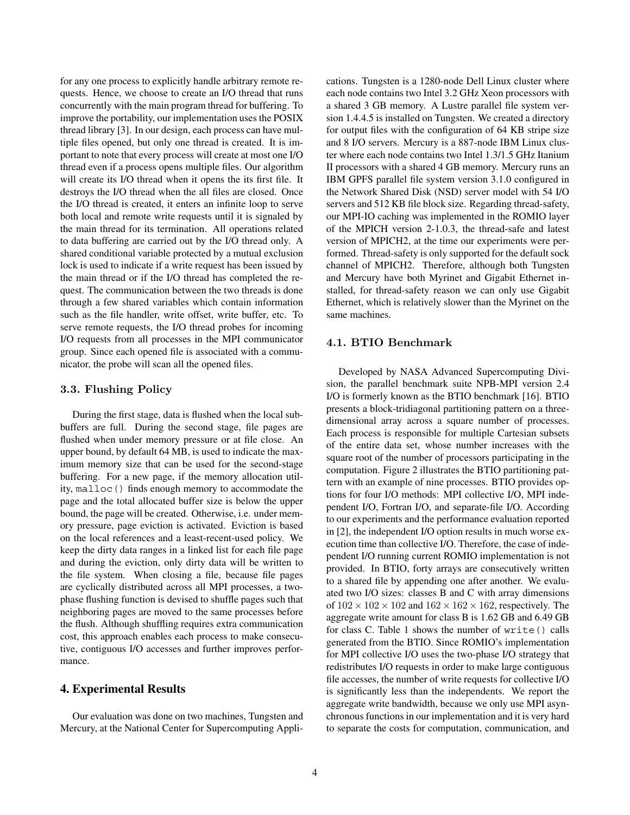for any one process to explicitly handle arbitrary remote requests. Hence, we choose to create an I/O thread that runs concurrently with the main program thread for buffering. To improve the portability, our implementation uses the POSIX thread library [3]. In our design, each process can have multiple files opened, but only one thread is created. It is important to note that every process will create at most one I/O thread even if a process opens multiple files. Our algorithm will create its I/O thread when it opens the its first file. It destroys the I/O thread when the all files are closed. Once the I/O thread is created, it enters an infinite loop to serve both local and remote write requests until it is signaled by the main thread for its termination. All operations related to data buffering are carried out by the I/O thread only. A shared conditional variable protected by a mutual exclusion lock is used to indicate if a write request has been issued by the main thread or if the I/O thread has completed the request. The communication between the two threads is done through a few shared variables which contain information such as the file handler, write offset, write buffer, etc. To serve remote requests, the I/O thread probes for incoming I/O requests from all processes in the MPI communicator group. Since each opened file is associated with a communicator, the probe will scan all the opened files.

### 3.3. Flushing Policy

During the first stage, data is flushed when the local subbuffers are full. During the second stage, file pages are flushed when under memory pressure or at file close. An upper bound, by default 64 MB, is used to indicate the maximum memory size that can be used for the second-stage buffering. For a new page, if the memory allocation utility, malloc() finds enough memory to accommodate the page and the total allocated buffer size is below the upper bound, the page will be created. Otherwise, i.e. under memory pressure, page eviction is activated. Eviction is based on the local references and a least-recent-used policy. We keep the dirty data ranges in a linked list for each file page and during the eviction, only dirty data will be written to the file system. When closing a file, because file pages are cyclically distributed across all MPI processes, a twophase flushing function is devised to shuffle pages such that neighboring pages are moved to the same processes before the flush. Although shuffling requires extra communication cost, this approach enables each process to make consecutive, contiguous I/O accesses and further improves performance.

## **4. Experimental Results**

Our evaluation was done on two machines, Tungsten and Mercury, at the National Center for Supercomputing Applications. Tungsten is a 1280-node Dell Linux cluster where each node contains two Intel 3.2 GHz Xeon processors with a shared 3 GB memory. A Lustre parallel file system version 1.4.4.5 is installed on Tungsten. We created a directory for output files with the configuration of 64 KB stripe size and 8 I/O servers. Mercury is a 887-node IBM Linux cluster where each node contains two Intel 1.3/1.5 GHz Itanium II processors with a shared 4 GB memory. Mercury runs an IBM GPFS parallel file system version 3.1.0 configured in the Network Shared Disk (NSD) server model with 54 I/O servers and 512 KB file block size. Regarding thread-safety, our MPI-IO caching was implemented in the ROMIO layer of the MPICH version 2-1.0.3, the thread-safe and latest version of MPICH2, at the time our experiments were performed. Thread-safety is only supported for the default sock channel of MPICH2. Therefore, although both Tungsten and Mercury have both Myrinet and Gigabit Ethernet installed, for thread-safety reason we can only use Gigabit Ethernet, which is relatively slower than the Myrinet on the same machines.

#### 4.1. BTIO Benchmark

Developed by NASA Advanced Supercomputing Division, the parallel benchmark suite NPB-MPI version 2.4 I/O is formerly known as the BTIO benchmark [16]. BTIO presents a block-tridiagonal partitioning pattern on a threedimensional array across a square number of processes. Each process is responsible for multiple Cartesian subsets of the entire data set, whose number increases with the square root of the number of processors participating in the computation. Figure 2 illustrates the BTIO partitioning pattern with an example of nine processes. BTIO provides options for four I/O methods: MPI collective I/O, MPI independent I/O, Fortran I/O, and separate-file I/O. According to our experiments and the performance evaluation reported in [2], the independent I/O option results in much worse execution time than collective I/O. Therefore, the case of independent I/O running current ROMIO implementation is not provided. In BTIO, forty arrays are consecutively written to a shared file by appending one after another. We evaluated two I/O sizes: classes B and C with array dimensions of  $102 \times 102 \times 102$  and  $162 \times 162 \times 162$ , respectively. The aggregate write amount for class B is 1.62 GB and 6.49 GB for class C. Table 1 shows the number of write() calls generated from the BTIO. Since ROMIO's implementation for MPI collective I/O uses the two-phase I/O strategy that redistributes I/O requests in order to make large contiguous file accesses, the number of write requests for collective I/O is significantly less than the independents. We report the aggregate write bandwidth, because we only use MPI asynchronousfunctionsin our implementation and it is very hard to separate the costs for computation, communication, and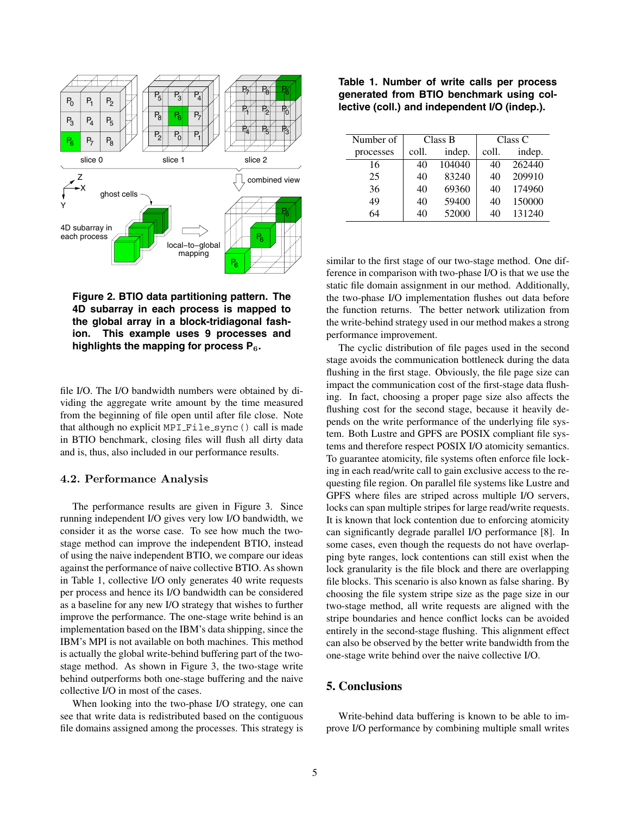

**Figure 2. BTIO data partitioning pattern. The 4D subarray in each process is mapped to the global array in a block-tridiagonal fashion. This example uses 9 processes and highlights the mapping for process P**6**.**

file I/O. The I/O bandwidth numbers were obtained by dividing the aggregate write amount by the time measured from the beginning of file open until after file close. Note that although no explicit MPI\_File\_sync() call is made in BTIO benchmark, closing files will flush all dirty data and is, thus, also included in our performance results.

#### 4.2. Performance Analysis

The performance results are given in Figure 3. Since running independent I/O gives very low I/O bandwidth, we consider it as the worse case. To see how much the twostage method can improve the independent BTIO, instead of using the naive independent BTIO, we compare our ideas against the performance of naive collective BTIO. As shown in Table 1, collective I/O only generates 40 write requests per process and hence its I/O bandwidth can be considered as a baseline for any new I/O strategy that wishes to further improve the performance. The one-stage write behind is an implementation based on the IBM's data shipping, since the IBM's MPI is not available on both machines. This method is actually the global write-behind buffering part of the twostage method. As shown in Figure 3, the two-stage write behind outperforms both one-stage buffering and the naive collective I/O in most of the cases.

When looking into the two-phase I/O strategy, one can see that write data is redistributed based on the contiguous file domains assigned among the processes. This strategy is

| Table 1. Number of write calls per process    |  |  |  |  |  |
|-----------------------------------------------|--|--|--|--|--|
| generated from BTIO benchmark using col-      |  |  |  |  |  |
| lective (coll.) and independent I/O (indep.). |  |  |  |  |  |

| Number of |       | Class B | Class C |        |  |
|-----------|-------|---------|---------|--------|--|
| processes | coll. | indep.  | coll.   | indep. |  |
| 16        | 40    | 104040  | 40      | 262440 |  |
| 25        | 40    | 83240   | 40      | 209910 |  |
| 36        | 40    | 69360   | 40      | 174960 |  |
| 49        | 40    | 59400   | 40      | 150000 |  |
| 64        | 40    | 52000   | 40      | 131240 |  |

similar to the first stage of our two-stage method. One difference in comparison with two-phase I/O is that we use the static file domain assignment in our method. Additionally, the two-phase I/O implementation flushes out data before the function returns. The better network utilization from the write-behind strategy used in our method makes a strong performance improvement.

The cyclic distribution of file pages used in the second stage avoids the communication bottleneck during the data flushing in the first stage. Obviously, the file page size can impact the communication cost of the first-stage data flushing. In fact, choosing a proper page size also affects the flushing cost for the second stage, because it heavily depends on the write performance of the underlying file system. Both Lustre and GPFS are POSIX compliant file systems and therefore respect POSIX I/O atomicity semantics. To guarantee atomicity, file systems often enforce file locking in each read/write call to gain exclusive access to the requesting file region. On parallel file systems like Lustre and GPFS where files are striped across multiple I/O servers, locks can span multiple stripes for large read/write requests. It is known that lock contention due to enforcing atomicity can significantly degrade parallel I/O performance [8]. In some cases, even though the requests do not have overlapping byte ranges, lock contentions can still exist when the lock granularity is the file block and there are overlapping file blocks. This scenario is also known as false sharing. By choosing the file system stripe size as the page size in our two-stage method, all write requests are aligned with the stripe boundaries and hence conflict locks can be avoided entirely in the second-stage flushing. This alignment effect can also be observed by the better write bandwidth from the one-stage write behind over the naive collective I/O.

# **5. Conclusions**

Write-behind data buffering is known to be able to improve I/O performance by combining multiple small writes